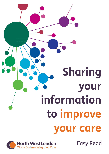



Easy Read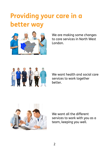## **Providing your care in a better way**



We are making some changes to care services in North West London.



We want health and social care services to work together better.



We want all the different services to work with you as a team, keeping you well.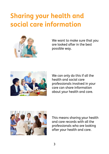## **Sharing your health and social care information**



We want to make sure that you are looked after in the best possible way.



about your health and care. We can only do this if all the health and social care professionals involved in your care can share information



This means sharing your health and care records with all the professionals who are looking after your health and care.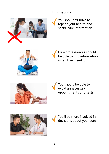This means:



social care information You shouldn't have to repeat your health and



when they need it Care professionals should be able to find information





appointments and tests You should be able to avoid unnecessary





You'll be more involved in decisions about your care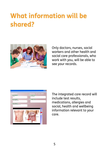# **What information will be shared?**



Only doctors, nurses, social workers and other health and social care professionals, who work with you, will be able to see your records.



The integrated care record will include test results, medications, allergies and social, health and wellbeing information relevant to your care.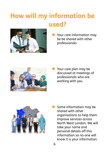# **How will my information be used?**



Your care information may be be shared with other professionals



• Your care plan may be discussed at meetings of professionals who are working with you



Some information may be shared with other organisations to help them improve services across North West London. We will take your name and personal details off this information so no-one will know it is your information.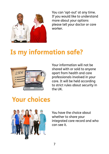

You can 'opt-out' at any time. If you would like to understand more about your options please tell your doctor or care worker.

#### **Is my information safe?**



Your information will not be shared with or sold to anyone apart from health and care professionals involved in your care. It will be held according to strict rules about security in the UK.

### **Your choices**



You have the choice about whether to share your integrated care record and who can see it.